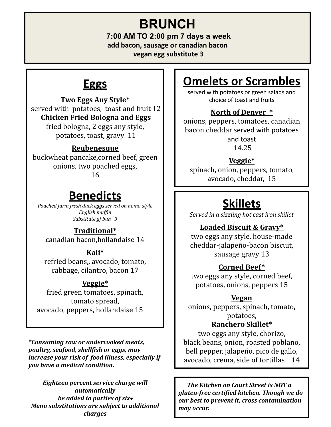# **BRUNCH**

 **7:00 AM TO 2:00 pm 7 days a week add bacon, sausage or canadian bacon vegan egg substitute 3**

### **Eggs**

**Two Eggs Any Style\*** served with potatoes, toast and fruit 12  **Chicken Fried Bologna and Eggs**

fried bologna, 2 eggs any style, potatoes, toast, gravy 11

#### **Reubenesque**

buckwheat pancake,corned beef, green onions, two poached eggs, 16

### **Benedicts**

*Poached farm fresh duck eggs served on home-style English muffin Substitute gf bun 3*

**Traditional\*** canadian bacon,hollandaise 14

#### **Kali\***

refried beans,, avocado, tomato, cabbage, cilantro, bacon 17

#### **Veggie\***

fried green tomatoes, spinach, tomato spread, avocado, peppers, hollandaise 15

*\*Consuming raw or undercooked meats, poultry, seafood, shellfish or eggs, may increase your risk of food illness, especially if you have a medical condition.*

*Eighteen percent service charge will automatically be added to parties of six+ Menu substitutions are subject to additional charges*

## **Omelets or Scrambles**

served with potatoes or green salads and choice of toast and fruits

#### **North of Denver \***

onions, peppers, tomatoes, canadian bacon cheddar served with potatoes and toast 14.25

#### **Veggie\***

spinach, onion, peppers, tomato, avocado, cheddar, 15

## **Skillets**

*Served in a sizzling hot cast iron skillet*

**Loaded Biscuit & Gravy\***

two eggs any style, house-made cheddar-jalapeño-bacon biscuit, sausage gravy 13

#### **Corned Beef\***

two eggs any style, corned beef, potatoes, onions, peppers 15

#### **Vegan**

onions, peppers, spinach, tomato, potatoes,

#### **Ranchero Skillet\***

two eggs any style, chorizo, black beans, onion, roasted poblano, bell pepper, jalapeño, pico de gallo, avocado, crema, side of tortillas 14

 *The Kitchen on Court Street is NOT a gluten-free certified kitchen. Though we do our best to prevent it, cross contamination may occur.*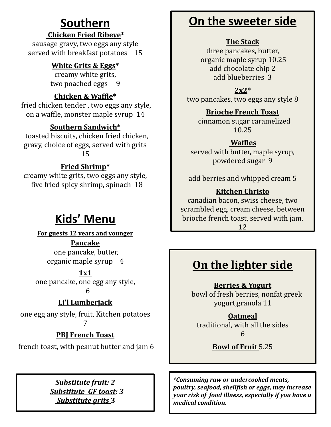# **Southern**

#### **Chicken Fried Ribeye\***

sausage gravy, two eggs any style served with breakfast potatoes 15

#### **White Grits & Eggs\***

creamy white grits, two poached eggs 9

#### **Chicken & Waffle\***

fried chicken tender , two eggs any style, on a waffle, monster maple syrup 14

#### **Southern Sandwich\***

 toasted biscuits, chicken fried chicken, gravy, choice of eggs, served with grits 15

### **Fried Shrimp\***

creamy white grits, two eggs any style, five fried spicy shrimp, spinach 18

## **Kids' Menu**

**For guests 12 years and younger**

#### **Pancake**

one pancake, butter, organic maple syrup 4

#### **1x1**

one pancake, one egg any style,

6

### **Li'l Lumberjack**

one egg any style, fruit, Kitchen potatoes 7

### **PBJ French Toast**

french toast, with peanut butter and jam 6

*Substitute fruit: 2 Substitute GF toast: 3 Substitute grits* **3**

## **On the sweeter side**

#### **The Stack**

three pancakes, butter, organic maple syrup 10.25 add chocolate chip 2 add blueberries 3

#### **2x2\***

two pancakes, two eggs any style 8

### **Brioche French Toast**

 cinnamon sugar caramelized 10.25

#### **Waffles**

served with butter, maple syrup, powdered sugar 9

add berries and whipped cream 5

#### **Kitchen Christo**

canadian bacon, swiss cheese, two scrambled egg, cream cheese, between brioche french toast, served with jam.

12

# **On the lighter side**

#### **Berries & Yogurt**

 bowl of fresh berries, nonfat greek yogurt,granola 11

**Oatmeal** traditional, with all the sides 6

**Bowl of Fruit** 5.25

*\*Consuming raw or undercooked meats, poultry, seafood, shellfish or eggs, may increase your risk of food illness, especially if you have a medical condition.*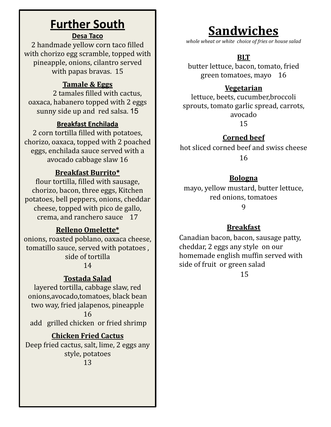### **Further South**

#### **Desa Taco**

2 handmade yellow corn taco filled with chorizo egg scramble, topped with pineapple, onions, cilantro served with papas bravas. 15

#### **Tamale & Eggs**

2 tamales filled with cactus, oaxaca, habanero topped with 2 eggs sunny side up and red salsa. 15

#### **Breakfast Enchilada**

2 corn tortilla filled with potatoes, chorizo, oaxaca, topped with 2 poached eggs, enchilada sauce served with a avocado cabbage slaw 16

#### **Breakfast Burrito\***

flour tortilla, filled with sausage, chorizo, bacon, three eggs, Kitchen potatoes, bell peppers, onions, cheddar cheese, topped with pico de gallo, crema, and ranchero sauce 17

#### **Relleno Omelette\***

onions, roasted poblano, oaxaca cheese, tomatillo sauce, served with potatoes , side of tortilla 14

#### **Tostada Salad**

layered tortilla, cabbage slaw, red onions,avocado,tomatoes, black bean two way, fried jalapenos, pineapple 16

add grilled chicken or fried shrimp

#### **Chicken Fried Cactus**

Deep fried cactus, salt, lime, 2 eggs any style, potatoes

13

## **Sandwiches**

*whole wheat or white choice of fries or house salad*

### **BLT**

butter lettuce, bacon, tomato, fried green tomatoes, mayo 16

#### **Vegetarian**

lettuce, beets, cucumber,broccoli sprouts, tomato garlic spread, carrots, avocado 15

#### **Corned beef**

hot sliced corned beef and swiss cheese 16

#### **Bologna**

mayo, yellow mustard, butter lettuce, red onions, tomatoes

#### 9

#### **Breakfast**

Canadian bacon, bacon, sausage patty, cheddar, 2 eggs any style on our homemade english muffin served with side of fruit or green salad

15